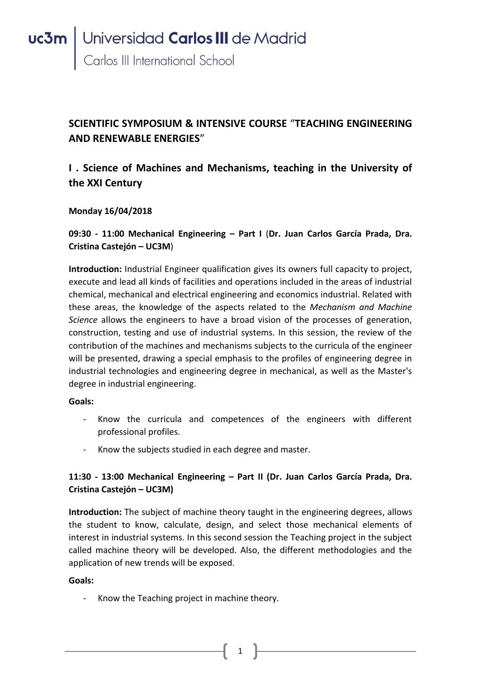## **SCIENTIFIC SYMPOSIUM & INTENSIVE COURSE** "**TEACHING ENGINEERING AND RENEWABLE ENERGIES**"

## **I . Science of Machines and Mechanisms, teaching in the University of the XXI Century**

### **Monday 16/04/2018**

**09:30 - 11:00 Mechanical Engineering – Part I** (**Dr. Juan Carlos García Prada, Dra. Cristina Castejón – UC3M**)

**Introduction:** Industrial Engineer qualification gives its owners full capacity to project, execute and lead all kinds of facilities and operations included in the areas of industrial chemical, mechanical and electrical engineering and economics industrial. Related with these areas, the knowledge of the aspects related to the *Mechanism and Machine Science* allows the engineers to have a broad vision of the processes of generation, construction, testing and use of industrial systems. In this session, the review of the contribution of the machines and mechanisms subjects to the curricula of the engineer will be presented, drawing a special emphasis to the profiles of engineering degree in industrial technologies and engineering degree in mechanical, as well as the Master's degree in industrial engineering.

#### **Goals:**

- Know the curricula and competences of the engineers with different professional profiles.
- Know the subjects studied in each degree and master.

### **11:30 - 13:00 Mechanical Engineering – Part II (Dr. Juan Carlos García Prada, Dra. Cristina Castejón – UC3M)**

**Introduction:** The subject of machine theory taught in the engineering degrees, allows the student to know, calculate, design, and select those mechanical elements of interest in industrial systems. In this second session the Teaching project in the subject called machine theory will be developed. Also, the different methodologies and the application of new trends will be exposed.

1

#### **Goals:**

- Know the Teaching project in machine theory.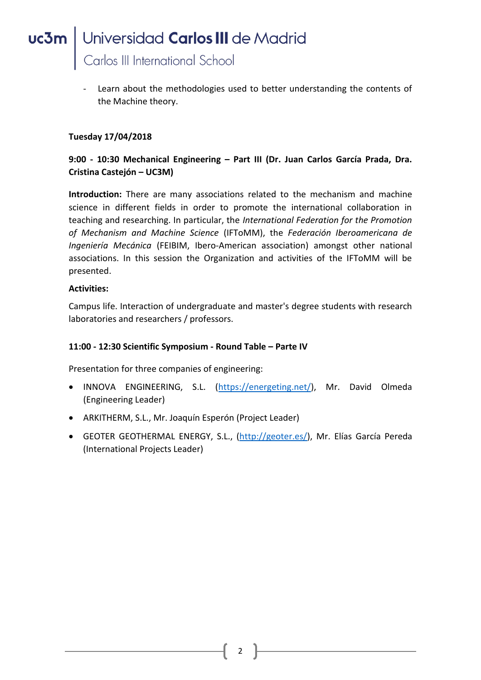Learn about the methodologies used to better understanding the contents of the Machine theory.

#### **Tuesday 17/04/2018**

### **9:00 - 10:30 Mechanical Engineering – Part III (Dr. Juan Carlos García Prada, Dra. Cristina Castejón – UC3M)**

**Introduction:** There are many associations related to the mechanism and machine science in different fields in order to promote the international collaboration in teaching and researching. In particular, the *International Federation for the Promotion of Mechanism and Machine Science* (IFToMM), the *Federación Iberoamericana de Ingeniería Mecánica* (FEIBIM, Ibero-American association) amongst other national associations. In this session the Organization and activities of the IFToMM will be presented.

#### **Activities:**

Campus life. Interaction of undergraduate and master's degree students with research laboratories and researchers / professors.

#### **11:00 - 12:30 Scientific Symposium - Round Table – Parte IV**

Presentation for three companies of engineering:

- INNOVA ENGINEERING, S.L. [\(https://energeting.net/\)](https://energeting.net/), Mr. David Olmeda (Engineering Leader)
- ARKITHERM, S.L., Mr. Joaquín Esperón (Project Leader)
- GEOTER GEOTHERMAL ENERGY, S.L., [\(http://geoter.es/\)](http://geoter.es/), Mr. Elías García Pereda (International Projects Leader)

2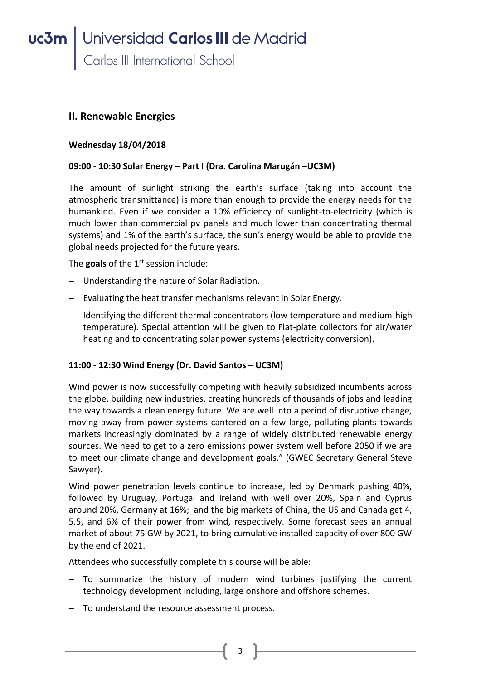### **II. Renewable Energies**

#### **Wednesday 18/04/2018**

#### **09:00 - 10:30 Solar Energy – Part I (Dra. Carolina Marugán –UC3M)**

The amount of sunlight striking the earth's surface (taking into account the atmospheric transmittance) is more than enough to provide the energy needs for the humankind. Even if we consider a 10% efficiency of sunlight-to-electricity (which is much lower than commercial pv panels and much lower than concentrating thermal systems) and 1% of the earth's surface, the sun's energy would be able to provide the global needs projected for the future years.

The goals of the 1<sup>st</sup> session include:

- Understanding the nature of Solar Radiation.
- $-$  Evaluating the heat transfer mechanisms relevant in Solar Energy.
- Identifying the different thermal concentrators (low temperature and medium-high temperature). Special attention will be given to Flat-plate collectors for air/water heating and to concentrating solar power systems (electricity conversion).

#### **11:00 - 12:30 Wind Energy (Dr. David Santos – UC3M)**

Wind power is now successfully competing with heavily subsidized incumbents across the globe, building new industries, creating hundreds of thousands of jobs and leading the way towards a clean energy future. We are well into a period of disruptive change, moving away from power systems cantered on a few large, polluting plants towards markets increasingly dominated by a range of widely distributed renewable energy sources. We need to get to a zero emissions power system well before 2050 if we are to meet our climate change and development goals." (GWEC Secretary General Steve Sawyer).

Wind power penetration levels continue to increase, led by Denmark pushing 40%, followed by Uruguay, Portugal and Ireland with well over 20%, Spain and Cyprus around 20%, Germany at 16%; and the big markets of China, the US and Canada get 4, 5.5, and 6% of their power from wind, respectively. Some forecast sees an annual market of about 75 GW by 2021, to bring cumulative installed capacity of over 800 GW by the end of 2021.

Attendees who successfully complete this course will be able:

- To summarize the history of modern wind turbines justifying the current technology development including, large onshore and offshore schemes.
- To understand the resource assessment process.

3